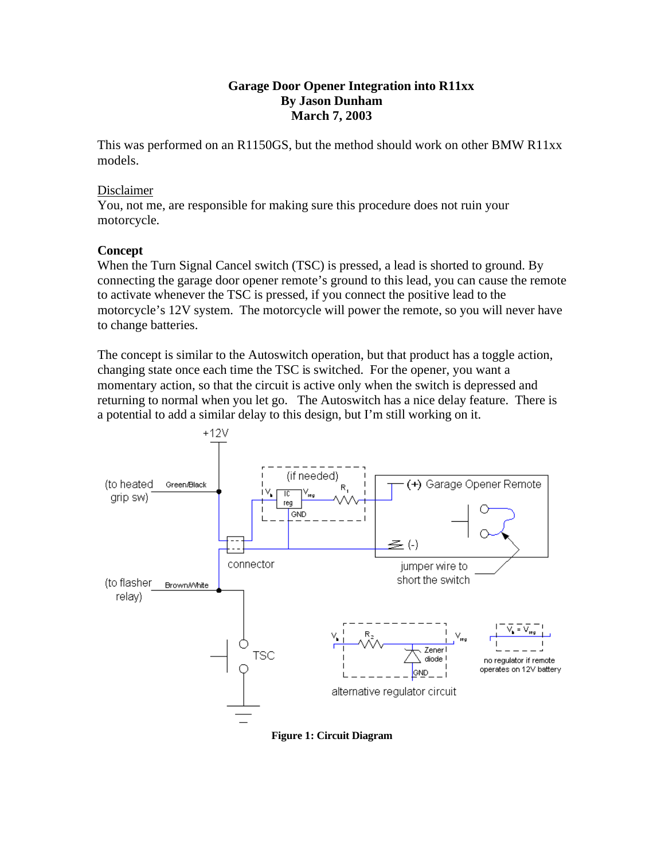### **Garage Door Opener Integration into R11xx By Jason Dunham March 7, 2003**

This was performed on an R1150GS, but the method should work on other BMW R11xx models.

#### Disclaimer

You, not me, are responsible for making sure this procedure does not ruin your motorcycle.

### **Concept**

When the Turn Signal Cancel switch (TSC) is pressed, a lead is shorted to ground. By connecting the garage door opener remote's ground to this lead, you can cause the remote to activate whenever the TSC is pressed, if you connect the positive lead to the motorcycle's 12V system. The motorcycle will power the remote, so you will never have to change batteries.

The concept is similar to the Autoswitch operation, but that product has a toggle action, changing state once each time the TSC is switched. For the opener, you want a momentary action, so that the circuit is active only when the switch is depressed and returning to normal when you let go. The Autoswitch has a nice delay feature. There is a potential to add a similar delay to this design, but I'm still working on it.



**Figure 1: Circuit Diagram**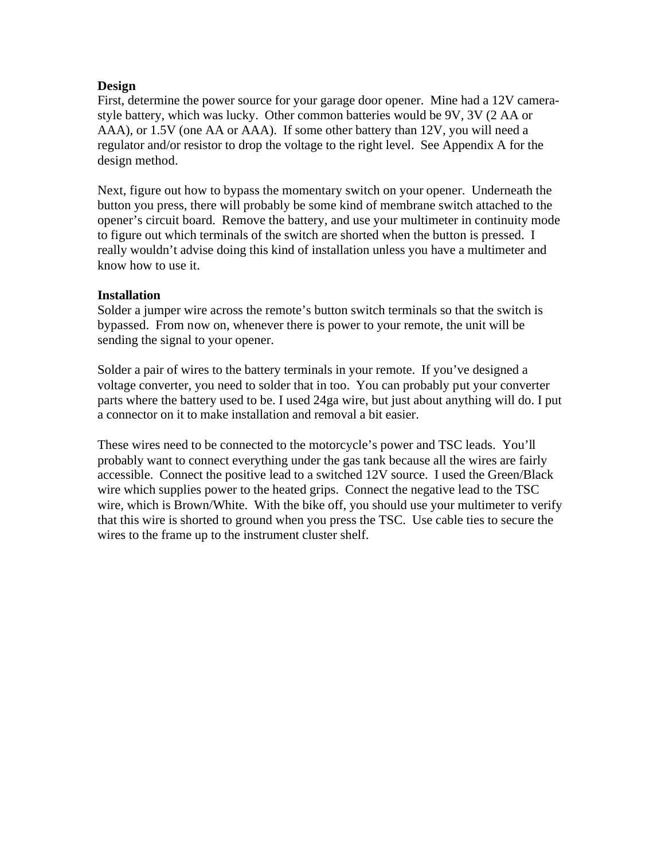### **Design**

First, determine the power source for your garage door opener. Mine had a 12V camerastyle battery, which was lucky. Other common batteries would be 9V, 3V (2 AA or AAA), or 1.5V (one AA or AAA). If some other battery than 12V, you will need a regulator and/or resistor to drop the voltage to the right level. See Appendix A for the design method.

Next, figure out how to bypass the momentary switch on your opener. Underneath the button you press, there will probably be some kind of membrane switch attached to the opener's circuit board. Remove the battery, and use your multimeter in continuity mode to figure out which terminals of the switch are shorted when the button is pressed. I really wouldn't advise doing this kind of installation unless you have a multimeter and know how to use it.

### **Installation**

Solder a jumper wire across the remote's button switch terminals so that the switch is bypassed. From now on, whenever there is power to your remote, the unit will be sending the signal to your opener.

Solder a pair of wires to the battery terminals in your remote. If you've designed a voltage converter, you need to solder that in too. You can probably put your converter parts where the battery used to be. I used 24ga wire, but just about anything will do. I put a connector on it to make installation and removal a bit easier.

These wires need to be connected to the motorcycle's power and TSC leads. You'll probably want to connect everything under the gas tank because all the wires are fairly accessible. Connect the positive lead to a switched 12V source. I used the Green/Black wire which supplies power to the heated grips. Connect the negative lead to the TSC wire, which is Brown/White. With the bike off, you should use your multimeter to verify that this wire is shorted to ground when you press the TSC. Use cable ties to secure the wires to the frame up to the instrument cluster shelf.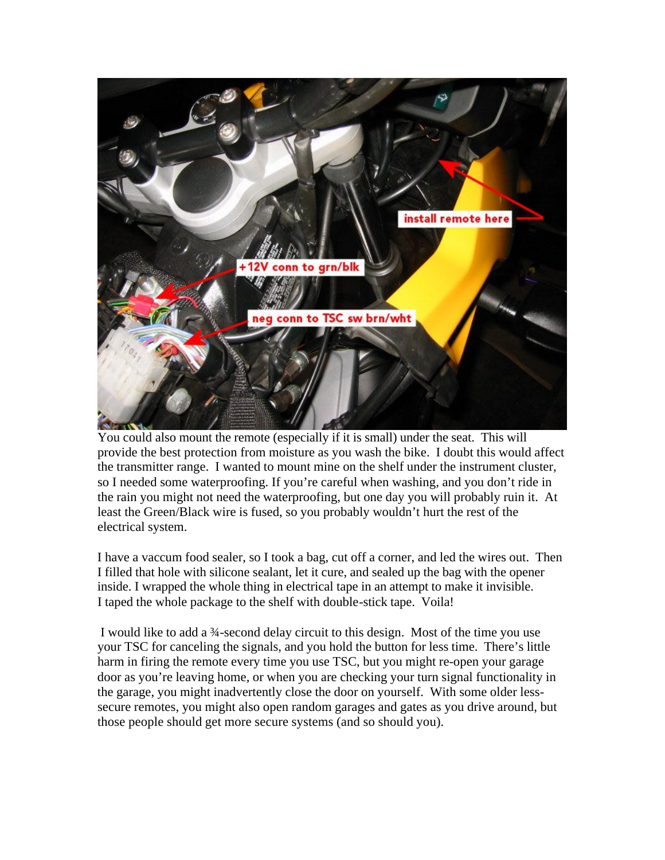

You could also mount the remote (especially if it is small) under the seat. This will provide the best protection from moisture as you wash the bike. I doubt this would affect the transmitter range. I wanted to mount mine on the shelf under the instrument cluster, so I needed some waterproofing. If you're careful when washing, and you don't ride in the rain you might not need the waterproofing, but one day you will probably ruin it. At least the Green/Black wire is fused, so you probably wouldn't hurt the rest of the electrical system.

I have a vaccum food sealer, so I took a bag, cut off a corner, and led the wires out. Then I filled that hole with silicone sealant, let it cure, and sealed up the bag with the opener inside. I wrapped the whole thing in electrical tape in an attempt to make it invisible. I taped the whole package to the shelf with double-stick tape. Voila!

 I would like to add a ¾-second delay circuit to this design. Most of the time you use your TSC for canceling the signals, and you hold the button for less time. There's little harm in firing the remote every time you use TSC, but you might re-open your garage door as you're leaving home, or when you are checking your turn signal functionality in the garage, you might inadvertently close the door on yourself. With some older lesssecure remotes, you might also open random garages and gates as you drive around, but those people should get more secure systems (and so should you).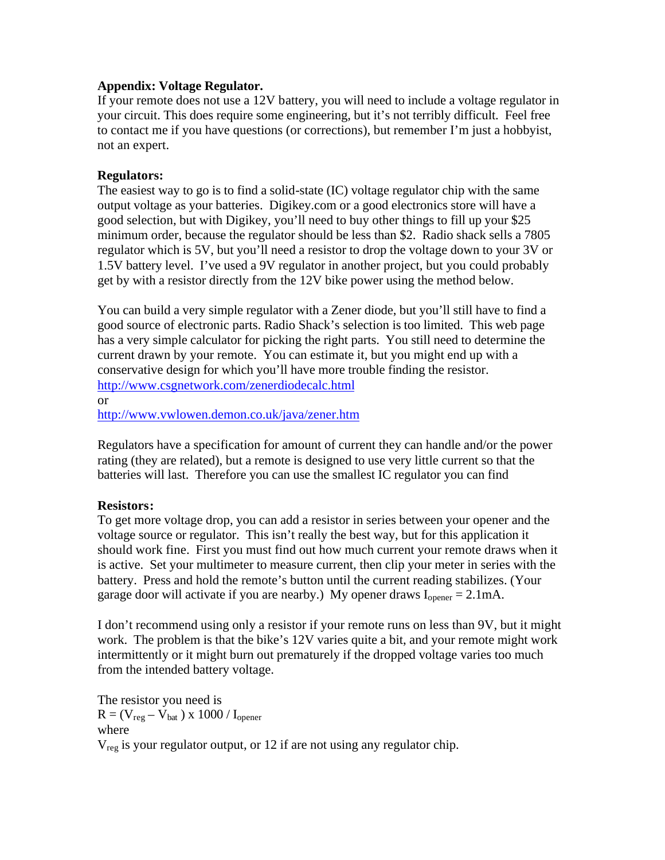### **Appendix: Voltage Regulator.**

If your remote does not use a 12V battery, you will need to include a voltage regulator in your circuit. This does require some engineering, but it's not terribly difficult. Feel free to contact me if you have questions (or corrections), but remember I'm just a hobbyist, not an expert.

## **Regulators:**

The easiest way to go is to find a solid-state (IC) voltage regulator chip with the same output voltage as your batteries. Digikey.com or a good electronics store will have a good selection, but with Digikey, you'll need to buy other things to fill up your \$25 minimum order, because the regulator should be less than \$2. Radio shack sells a 7805 regulator which is 5V, but you'll need a resistor to drop the voltage down to your 3V or 1.5V battery level. I've used a 9V regulator in another project, but you could probably get by with a resistor directly from the 12V bike power using the method below.

You can build a very simple regulator with a Zener diode, but you'll still have to find a good source of electronic parts. Radio Shack's selection is too limited. This web page has a very simple calculator for picking the right parts. You still need to determine the current drawn by your remote. You can estimate it, but you might end up with a conservative design for which you'll have more trouble finding the resistor. http://www.csgnetwork.com/zenerdiodecalc.html

or http://www.vwlowen.demon.co.uk/java/zener.htm

Regulators have a specification for amount of current they can handle and/or the power rating (they are related), but a remote is designed to use very little current so that the batteries will last. Therefore you can use the smallest IC regulator you can find

# **Resistors:**

To get more voltage drop, you can add a resistor in series between your opener and the voltage source or regulator. This isn't really the best way, but for this application it should work fine. First you must find out how much current your remote draws when it is active. Set your multimeter to measure current, then clip your meter in series with the battery. Press and hold the remote's button until the current reading stabilizes. (Your garage door will activate if you are nearby.) My opener draws  $I_{\text{onener}} = 2.1 \text{mA}$ .

I don't recommend using only a resistor if your remote runs on less than 9V, but it might work. The problem is that the bike's 12V varies quite a bit, and your remote might work intermittently or it might burn out prematurely if the dropped voltage varies too much from the intended battery voltage.

The resistor you need is  $R = (V_{reg} - V_{bat}) \times 1000 / I_{operator}$ where  $V_{reg}$  is your regulator output, or 12 if are not using any regulator chip.